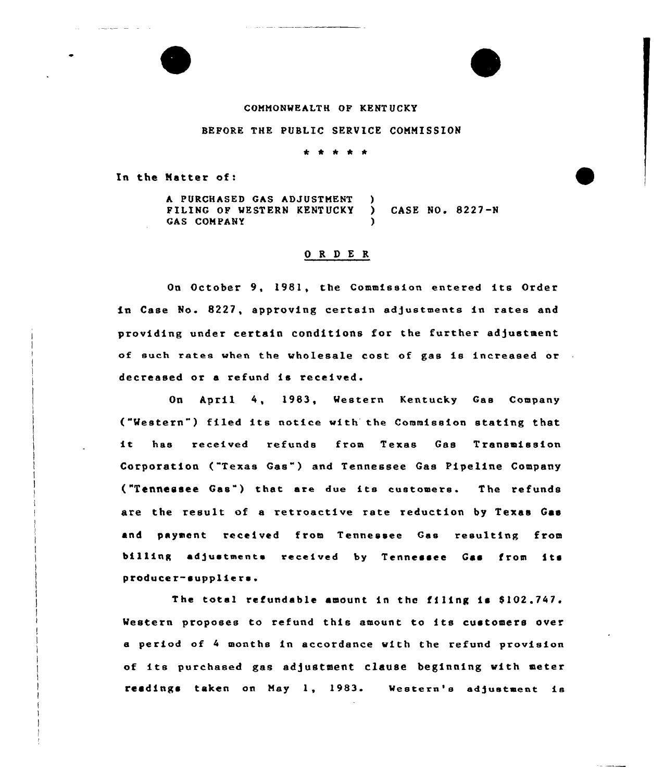## COMMONWEALTH OF KENT UCKY

## BEPORE THE PUBLIC SERVICE COMMISSION

## \* \* \* \* \*

In the Natter of:

A PURCHASED GAS ADJUSTMENT )<br>FILING OF WESTERN KENTHOKY ) PILING OF WESTERN KENTUCKY ) CASE NO. 8227-N GAS COMPANY

## 0 R <sup>D</sup> E R

On October 9, 1981, the Commission entered its Order in Case No. 8227, approving certain adjustments in rates and providing under certain conditions for the further adjustment of such rates when the wholesale cost of gas is increased or decreased or a refund is received.

On April 4, 1983, Western Kentucky Gas Company ("Western") filed its notice with the Commission stating that it has received refunds from Texas Gas Transmission Corporation ("Texas Gas") and Tennessee Gas Pipeline Company ("Tennessee Gas") that, are due its customers. The refunds ate the result of a retroactive rate reduction by Texas Gas and payment received from Tennessee Gas resulting from billing adjustments received by Tennessee Gas from its producer-suppliers.

The total refundable amount in the filing is  $$102,747$ . Western proposes to refund this amount to its customers over e period of <sup>4</sup> months in accotdsnce with the refund provision of its purchased gas adjustment clause beginning with meter readings taken on May 1, 1983. Western's adjustment is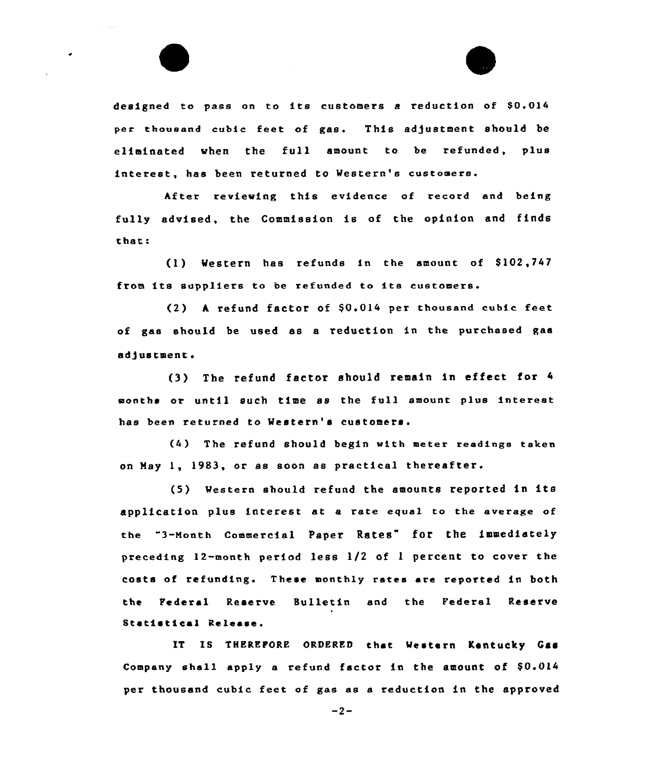

designed to pass on to its customers a reduction of \$0.014 per thousand cubic feet of gas. This adjustment should be eliminated when the full amount to be refunded, plus interest, has been returned to Western's customers.

hfter reviewing this evidence of record and being fully advised, the Commission is of the oyinion end finds that:

(1) Western has refunds in the amount of \$102,747 from its suppliers to be refunded to its customers.

(2) A refund factor of \$0.014 per thousand cubic feet of gas should be used as e reduction in the purchased gas adjustment.

(3) The refund factor should remain in effect tor <sup>4</sup> months ox until such time es the full amount plus interest has been returned to Western's customers.

The refund should begin with meter readings taken on May 1, 1983, or as soon as practical thereafter.

Western should refund the amounts reported in its application plus interest at a rate equal to the average of the "3-Month Commercial Payer Rates" for the immediately preceding 12-month period less 1/2 of <sup>1</sup> percent to cover the costs of refunding. These monthly rates are reported in both the Federal Reserve Bulletin and the Federal Reserve Statistical Release.

IT IS THEREFORE ORDERED that Western Kentucky Gas Company shall apply a refund factor in the amount of  $$0.014$ per thousand cubic feet of gas es e reduction in the approved